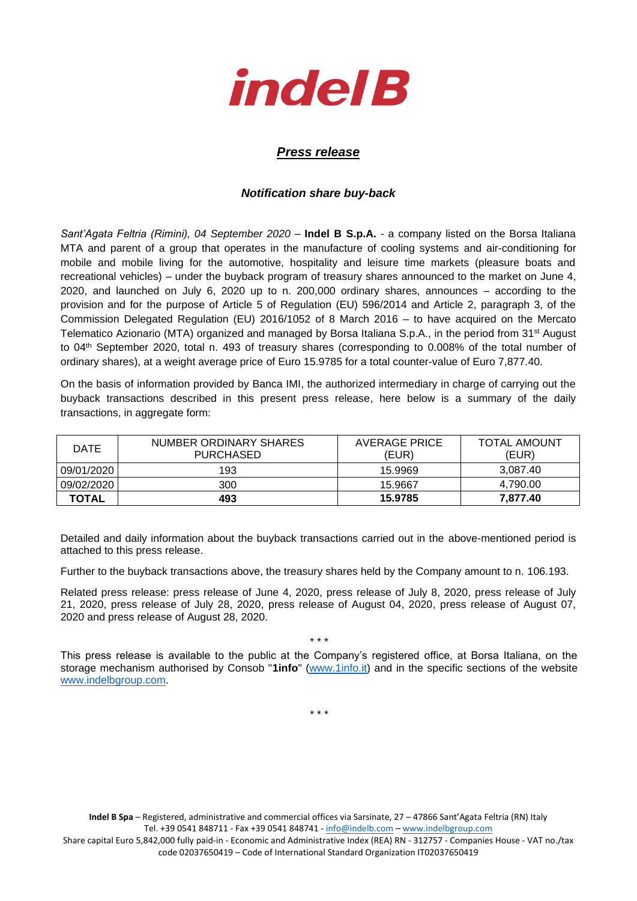

## *Press release*

## *Notification share buy-back*

*Sant'Agata Feltria (Rimini), 04 September 2020* – **Indel B S.p.A.** - a company listed on the Borsa Italiana MTA and parent of a group that operates in the manufacture of cooling systems and air-conditioning for mobile and mobile living for the automotive, hospitality and leisure time markets (pleasure boats and recreational vehicles) – under the buyback program of treasury shares announced to the market on June 4, 2020, and launched on July 6, 2020 up to n. 200,000 ordinary shares, announces – according to the provision and for the purpose of Article 5 of Regulation (EU) 596/2014 and Article 2, paragraph 3, of the Commission Delegated Regulation (EU) 2016/1052 of 8 March 2016 – to have acquired on the Mercato Telematico Azionario (MTA) organized and managed by Borsa Italiana S.p.A., in the period from 31<sup>st</sup> August to 04th September 2020, total n. 493 of treasury shares (corresponding to 0.008% of the total number of ordinary shares), at a weight average price of Euro 15.9785 for a total counter-value of Euro 7,877.40.

On the basis of information provided by Banca IMI, the authorized intermediary in charge of carrying out the buyback transactions described in this present press release, here below is a summary of the daily transactions, in aggregate form:

| <b>DATE</b>  | NUMBER ORDINARY SHARES<br><b>PURCHASED</b> | AVERAGE PRICE<br>(EUR) | <b>TOTAL AMOUNT</b><br>(EUR) |
|--------------|--------------------------------------------|------------------------|------------------------------|
| 09/01/2020   | 193                                        | 15.9969                | 3.087.40                     |
| 09/02/2020   | 300                                        | 15.9667                | 4.790.00                     |
| <b>TOTAL</b> | 493                                        | 15.9785                | 7.877.40                     |

Detailed and daily information about the buyback transactions carried out in the above-mentioned period is attached to this press release.

Further to the buyback transactions above, the treasury shares held by the Company amount to n. 106.193.

Related press release: press release of June 4, 2020, press release of July 8, 2020, press release of July 21, 2020, press release of July 28, 2020, press release of August 04, 2020, press release of August 07, 2020 and press release of August 28, 2020.

\* \* \*

This press release is available to the public at the Company's registered office, at Borsa Italiana, on the storage mechanism authorised by Consob "**1info**" [\(www.1info.it\)](file:///C:/Users/ddelietovollaro/AppData/Local/Microsoft/Windows/INetCache/Content.Outlook/T87B94UR/www.1info.it) and in the specific sections of the website [www.indelbgroup.com.](http://www.indelbgroup.com/)

\* \* \*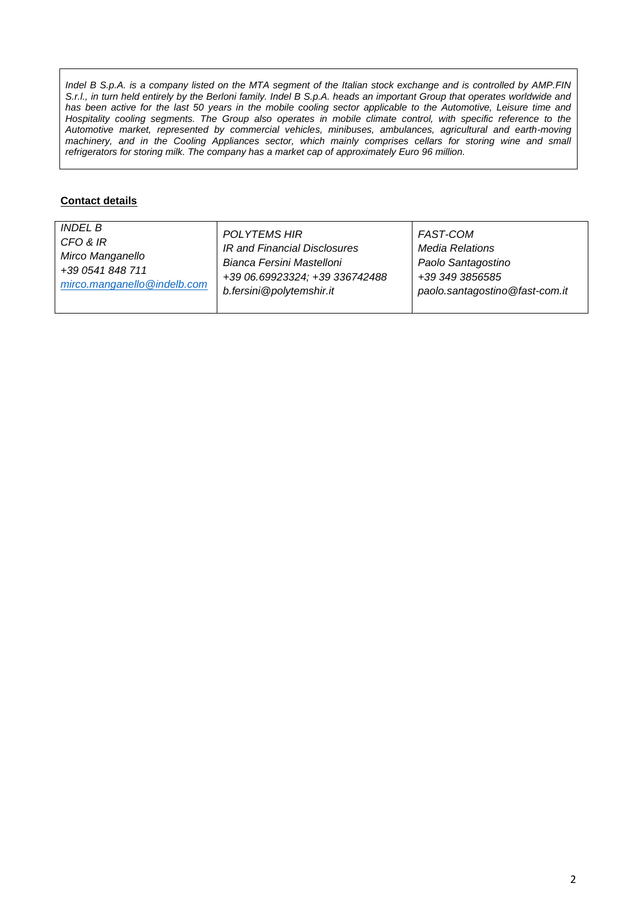*Indel B S.p.A. is a company listed on the MTA segment of the Italian stock exchange and is controlled by AMP.FIN S.r.l., in turn held entirely by the Berloni family. Indel B S.p.A. heads an important Group that operates worldwide and* has been active for the last 50 years in the mobile cooling sector applicable to the Automotive, Leisure time and Hospitality cooling segments. The Group also operates in mobile climate control, with specific reference to the *Automotive market, represented by commercial vehicles, minibuses, ambulances, agricultural and earth-moving machinery, and in the Cooling Appliances sector, which mainly comprises cellars for storing wine and small refrigerators for storing milk. The company has a market cap of approximately Euro 96 million.*

## **Contact details**

| <i>INDEL B</i>              | POLYTEMS HIR                   | FAST-COM                       |
|-----------------------------|--------------------------------|--------------------------------|
| CFO & IR                    | IR and Financial Disclosures   | Media Relations                |
| Mirco Manganello            | Bianca Fersini Mastelloni      | Paolo Santagostino             |
| +39 0541 848 711            | +39 06.69923324; +39 336742488 | +39 349 3856585                |
| mirco.manganello@indelb.com | b.fersini@polytemshir.it       | paolo.santagostino@fast-com.it |